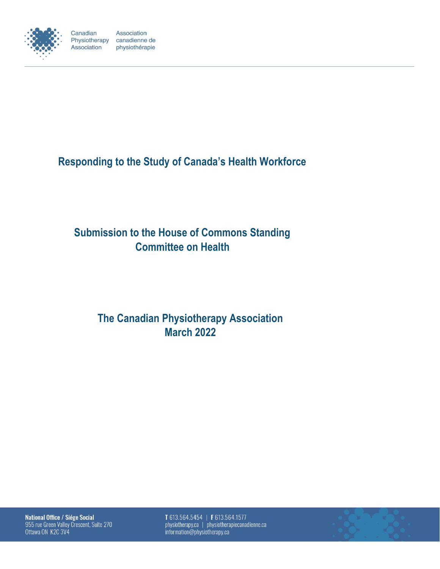

Canadian Association Physiotherapy canadienne de Association physiothérapie

**Responding to the Study of Canada's Health Workforce**

# **Submission to the House of Commons Standing Committee on Health**

# **The Canadian Physiotherapy Association March 2022**

National Office / Siége Social 955 rue Green Valley Crescent, Suite 270 Ottawa ON K2C 3V4

T 613.564.5454 | F 613.564.1577 physiotherapy.ca | physiotherapiecanadienne.ca information@physiotherapy.ca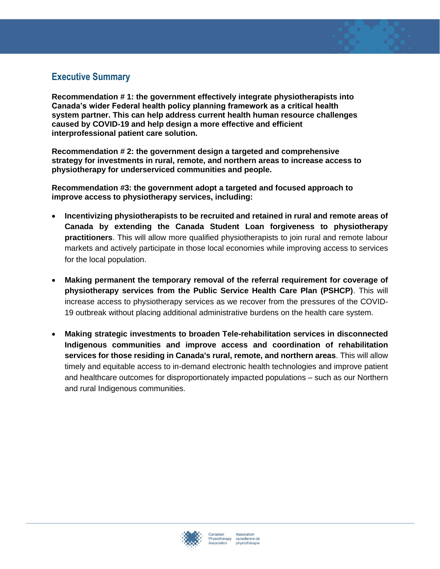## **Executive Summary**

**Recommendation # 1: the government effectively integrate physiotherapists into Canada's wider Federal health policy planning framework as a critical health system partner. This can help address current health human resource challenges caused by COVID-19 and help design a more effective and efficient interprofessional patient care solution.**

**Recommendation # 2: the government design a targeted and comprehensive strategy for investments in rural, remote, and northern areas to increase access to physiotherapy for underserviced communities and people.**

**Recommendation #3: the government adopt a targeted and focused approach to improve access to physiotherapy services, including:**

- **Incentivizing physiotherapists to be recruited and retained in rural and remote areas of Canada by extending the Canada Student Loan forgiveness to physiotherapy practitioners**. This will allow more qualified physiotherapists to join rural and remote labour markets and actively participate in those local economies while improving access to services for the local population.
- **Making permanent the temporary removal of the referral requirement for coverage of physiotherapy services from the Public Service Health Care Plan (PSHCP)**. This will increase access to physiotherapy services as we recover from the pressures of the COVID-19 outbreak without placing additional administrative burdens on the health care system.
- **Making strategic investments to broaden Tele-rehabilitation services in disconnected Indigenous communities and improve access and coordination of rehabilitation services for those residing in Canada's rural, remote, and northern areas**. This will allow timely and equitable access to in-demand electronic health technologies and improve patient and healthcare outcomes for disproportionately impacted populations – such as our Northern and rural Indigenous communities.

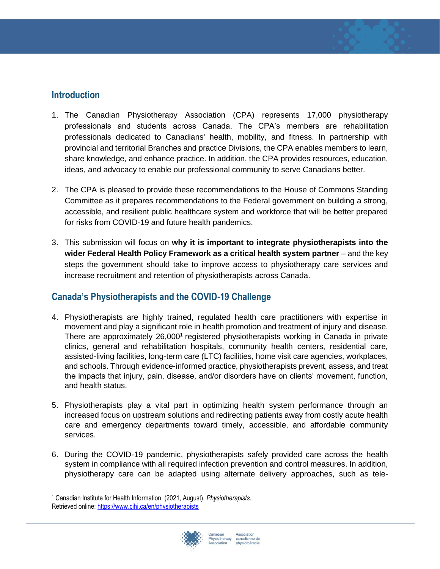#### **Introduction**

- 1. The Canadian Physiotherapy Association (CPA) represents 17,000 physiotherapy professionals and students across Canada. The CPA's members are rehabilitation professionals dedicated to Canadians' health, mobility, and fitness. In partnership with provincial and territorial Branches and practice Divisions, the CPA enables members to learn, share knowledge, and enhance practice. In addition, the CPA provides resources, education, ideas, and advocacy to enable our professional community to serve Canadians better.
- 2. The CPA is pleased to provide these recommendations to the House of Commons Standing Committee as it prepares recommendations to the Federal government on building a strong, accessible, and resilient public healthcare system and workforce that will be better prepared for risks from COVID-19 and future health pandemics.
- 3. This submission will focus on **why it is important to integrate physiotherapists into the wider Federal Health Policy Framework as a critical health system partner** – and the key steps the government should take to improve access to physiotherapy care services and increase recruitment and retention of physiotherapists across Canada.

## **Canada's Physiotherapists and the COVID-19 Challenge**

- 4. Physiotherapists are highly trained, regulated health care practitioners with expertise in movement and play a significant role in health promotion and treatment of injury and disease. There are approximately 26,000<sup>1</sup> registered physiotherapists working in Canada in private clinics, general and rehabilitation hospitals, community health centers, residential care, assisted-living facilities, long-term care (LTC) facilities, home visit care agencies, workplaces, and schools. Through evidence-informed practice, physiotherapists prevent, assess, and treat the impacts that injury, pain, disease, and/or disorders have on clients' movement, function, and health status.
- 5. Physiotherapists play a vital part in optimizing health system performance through an increased focus on upstream solutions and redirecting patients away from costly acute health care and emergency departments toward timely, accessible, and affordable community services.
- 6. During the COVID-19 pandemic, physiotherapists safely provided care across the health system in compliance with all required infection prevention and control measures. In addition, physiotherapy care can be adapted using alternate delivery approaches, such as tele-

<sup>1</sup> Canadian Institute for Health Information. (2021, August). *Physiotherapists*. Retrieved online:<https://www.cihi.ca/en/physiotherapists>

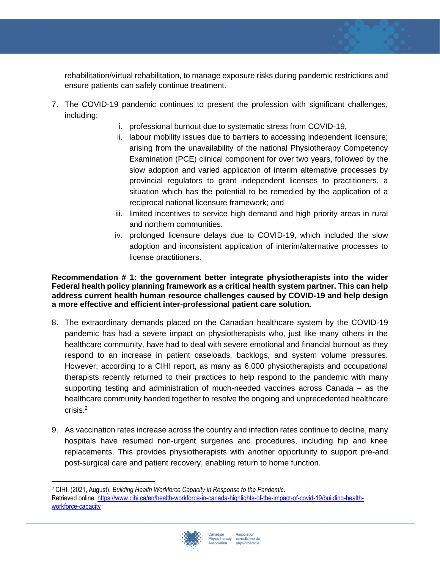rehabilitation/virtual rehabilitation, to manage exposure risks during pandemic restrictions and ensure patients can safely continue treatment.

- 7. The COVID-19 pandemic continues to present the profession with significant challenges, including:
	- i. professional burnout due to systematic stress from COVID-19,
	- ii. labour mobility issues due to barriers to accessing independent licensure; arising from the unavailability of the national Physiotherapy Competency Examination (PCE) clinical component for over two years, followed by the slow adoption and varied application of interim alternative processes by provincial regulators to grant independent licenses to practitioners, a situation which has the potential to be remedied by the application of a reciprocal national licensure framework; and
	- iii. limited incentives to service high demand and high priority areas in rural and northern communities.
	- iv. prolonged licensure delays due to COVID-19, which included the slow adoption and inconsistent application of interim/alternative processes to license practitioners.

#### **Recommendation # 1: the government better integrate physiotherapists into the wider Federal health policy planning framework as a critical health system partner. This can help address current health human resource challenges caused by COVID-19 and help design a more effective and efficient inter-professional patient care solution.**

- 8. The extraordinary demands placed on the Canadian healthcare system by the COVID-19 pandemic has had a severe impact on physiotherapists who, just like many others in the healthcare community, have had to deal with severe emotional and financial burnout as they respond to an increase in patient caseloads, backlogs, and system volume pressures. However, according to a CIHI report, as many as 6,000 physiotherapists and occupational therapists recently returned to their practices to help respond to the pandemic with many supporting testing and administration of much-needed vaccines across Canada – as the healthcare community banded together to resolve the ongoing and unprecedented healthcare crisis.<sup>2</sup>
- 9. As vaccination rates increase across the country and infection rates continue to decline, many hospitals have resumed non-urgent surgeries and procedures, including hip and knee replacements. This provides physiotherapists with another opportunity to support pre-and post-surgical care and patient recovery, enabling return to home function.

<sup>2</sup> CIHI. (2021, August). *Building Health Workforce Capacity in Response to the Pandemic*. Retrieved online: [https://www.cihi.ca/en/health-workforce-in-canada-highlights-of-the-impact-of-covid-19/building-health](https://www.cihi.ca/en/health-workforce-in-canada-highlights-of-the-impact-of-covid-19/building-health-workforce-capacity)[workforce-capacity](https://www.cihi.ca/en/health-workforce-in-canada-highlights-of-the-impact-of-covid-19/building-health-workforce-capacity)

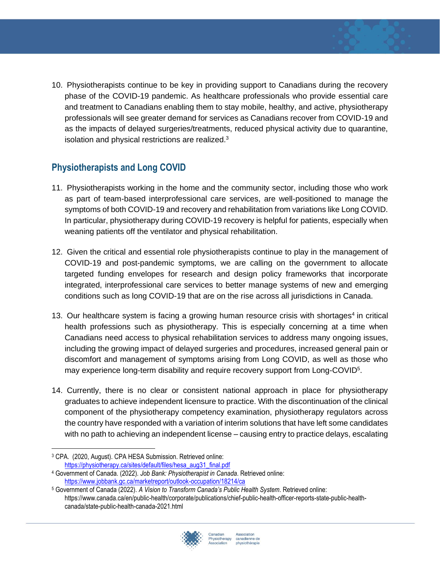10. Physiotherapists continue to be key in providing support to Canadians during the recovery phase of the COVID-19 pandemic. As healthcare professionals who provide essential care and treatment to Canadians enabling them to stay mobile, healthy, and active, physiotherapy professionals will see greater demand for services as Canadians recover from COVID-19 and as the impacts of delayed surgeries/treatments, reduced physical activity due to quarantine, isolation and physical restrictions are realized. $3$ 

## **Physiotherapists and Long COVID**

- 11. Physiotherapists working in the home and the community sector, including those who work as part of team-based interprofessional care services, are well-positioned to manage the symptoms of both COVID-19 and recovery and rehabilitation from variations like Long COVID. In particular, physiotherapy during COVID-19 recovery is helpful for patients, especially when weaning patients off the ventilator and physical rehabilitation.
- 12. Given the critical and essential role physiotherapists continue to play in the management of COVID-19 and post-pandemic symptoms, we are calling on the government to allocate targeted funding envelopes for research and design policy frameworks that incorporate integrated, interprofessional care services to better manage systems of new and emerging conditions such as long COVID-19 that are on the rise across all jurisdictions in Canada.
- 13. Our healthcare system is facing a growing human resource crisis with shortages<sup>4</sup> in critical health professions such as physiotherapy. This is especially concerning at a time when Canadians need access to physical rehabilitation services to address many ongoing issues, including the growing impact of delayed surgeries and procedures, increased general pain or discomfort and management of symptoms arising from Long COVID, as well as those who may experience long-term disability and require recovery support from Long-COVID<sup>5</sup>.
- 14. Currently, there is no clear or consistent national approach in place for physiotherapy graduates to achieve independent licensure to practice. With the discontinuation of the clinical component of the physiotherapy competency examination, physiotherapy regulators across the country have responded with a variation of interim solutions that have left some candidates with no path to achieving an independent license – causing entry to practice delays, escalating

<sup>5</sup> Government of Canada (2022). *A Vision to Transform Canada's Public Health System*. Retrieved online: https://www.canada.ca/en/public-health/corporate/publications/chief-public-health-officer-reports-state-public-healthcanada/state-public-health-canada-2021.html



<sup>3</sup> CPA. (2020, August). CPA HESA Submission. Retrieved online: [https://physiotherapy.ca/sites/default/files/hesa\\_aug31\\_final.pdf](https://physiotherapy.ca/sites/default/files/hesa_aug31_final.pdf)

<sup>4</sup> Government of Canada. (2022). *Job Bank: Physiotherapist in Canada*. Retrieved online: <https://www.jobbank.gc.ca/marketreport/outlook-occupation/18214/ca>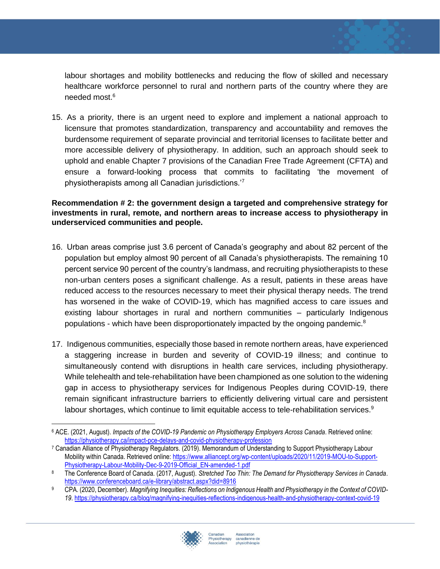labour shortages and mobility bottlenecks and reducing the flow of skilled and necessary healthcare workforce personnel to rural and northern parts of the country where they are needed most.<sup>6</sup>

15. As a priority, there is an urgent need to explore and implement a national approach to licensure that promotes standardization, transparency and accountability and removes the burdensome requirement of separate provincial and territorial licenses to facilitate better and more accessible delivery of physiotherapy. In addition, such an approach should seek to uphold and enable Chapter 7 provisions of the Canadian Free Trade Agreement (CFTA) and ensure a forward-looking process that commits to facilitating 'the movement of physiotherapists among all Canadian jurisdictions.'<sup>7</sup>

#### **Recommendation # 2: the government design a targeted and comprehensive strategy for investments in rural, remote, and northern areas to increase access to physiotherapy in underserviced communities and people.**

- 16. Urban areas comprise just 3.6 percent of Canada's geography and about 82 percent of the population but employ almost 90 percent of all Canada's physiotherapists. The remaining 10 percent service 90 percent of the country's landmass, and recruiting physiotherapists to these non-urban centers poses a significant challenge. As a result, patients in these areas have reduced access to the resources necessary to meet their physical therapy needs. The trend has worsened in the wake of COVID-19, which has magnified access to care issues and existing labour shortages in rural and northern communities – particularly Indigenous populations - which have been disproportionately impacted by the ongoing pandemic.<sup>8</sup>
- 17. Indigenous communities, especially those based in remote northern areas, have experienced a staggering increase in burden and severity of COVID-19 illness; and continue to simultaneously contend with disruptions in health care services, including physiotherapy. While telehealth and tele-rehabilitation have been championed as one solution to the widening gap in access to physiotherapy services for Indigenous Peoples during COVID-19, there remain significant infrastructure barriers to efficiently delivering virtual care and persistent labour shortages, which continue to limit equitable access to tele-rehabilitation services. $9$

<sup>9</sup> CPA. (2020, December). *Magnifying Inequities: Reflections on Indigenous Health and Physiotherapy in the Context of COVID-19*.<https://physiotherapy.ca/blog/magnifying-inequities-reflections-indigenous-health-and-physiotherapy-context-covid-19>



<sup>6</sup> ACE. (2021, August). *Impacts of the COVID-19 Pandemic on Physiotherapy Employers Across Canada*. Retrieved online: <https://physiotherapy.ca/impact-pce-delays-and-covid-physiotherapy-profession>

<sup>7</sup> Canadian Alliance of Physiotherapy Regulators. (2019). Memorandum of Understanding to Support Physiotherapy Labour Mobility within Canada. Retrieved online[: https://www.alliancept.org/wp-content/uploads/2020/11/2019-MOU-to-Support-](https://www.alliancept.org/wp-content/uploads/2020/11/2019-MOU-to-Support-Physiotherapy-Labour-Mobility-Dec-9-2019-Official_EN-amended-1.pdf)[Physiotherapy-Labour-Mobility-Dec-9-2019-Official\\_EN-amended-1.pdf](https://www.alliancept.org/wp-content/uploads/2020/11/2019-MOU-to-Support-Physiotherapy-Labour-Mobility-Dec-9-2019-Official_EN-amended-1.pdf)

<sup>8</sup> The Conference Board of Canada. (2017, August). *Stretched Too Thin: The Demand for Physiotherapy Services in Canada*. <https://www.conferenceboard.ca/e-library/abstract.aspx?did=8916>